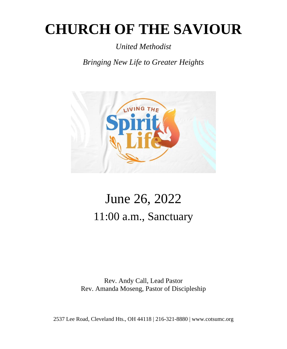# **CHURCH OF THE SAVIOUR**

*United Methodist*

*Bringing New Life to Greater Heights*



# June 26, 2022 11:00 a.m., Sanctuary

Rev. Andy Call, Lead Pastor Rev. Amanda Moseng, Pastor of Discipleship

2537 Lee Road, Cleveland Hts., OH 44118 | 216-321-8880 | www.cotsumc.org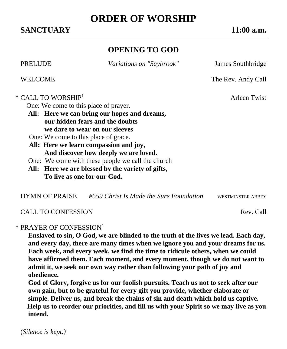## **SANCTUARY 11:00 a.m.**

# **ORDER OF WORSHIP**

# **OPENING TO GOD**

PRELUDE *Variations on "Saybrook"* James Southbridge

WELCOME The Rev. Andy Call

#### $*$  CALL TO WORSHIP<sup>1</sup>  $\qquad \qquad \text{Arleen Twist}$

One: We come to this place of prayer.

**All: Here we can bring our hopes and dreams, our hidden fears and the doubts we dare to wear on our sleeves**

One: We come to this place of grace.

- **All: Here we learn compassion and joy, And discover how deeply we are loved.**
- One: We come with these people we call the church
- **All: Here we are blessed by the variety of gifts, To live as one for our God.**

| <b>HYMN OF PRAISE</b> | #559 Christ Is Made the Sure Foundation | WESTMINSTER ABBEY |
|-----------------------|-----------------------------------------|-------------------|
|-----------------------|-----------------------------------------|-------------------|

### CALL TO CONFESSION Rev. Call

#### \* PRAYER OF CONFESSION<sup>1</sup>

**Enslaved to sin, O God, we are blinded to the truth of the lives we lead. Each day, and every day, there are many times when we ignore you and your dreams for us. Each week, and every week, we find the time to ridicule others, when we could have affirmed them. Each moment, and every moment, though we do not want to admit it, we seek our own way rather than following your path of joy and obedience.**

**God of Glory, forgive us for our foolish pursuits. Teach us not to seek after our own gain, but to be grateful for every gift you provide, whether elaborate or simple. Deliver us, and break the chains of sin and death which hold us captive. Help us to reorder our priorities, and fill us with your Spirit so we may live as you intend.**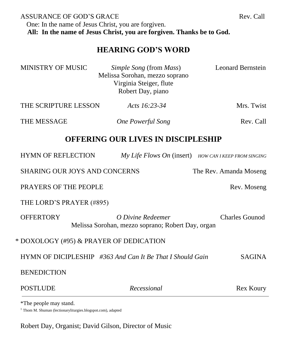ASSURANCE OF GOD'S GRACE THE REV. Call One: In the name of Jesus Christ, you are forgiven.  **All: In the name of Jesus Christ, you are forgiven. Thanks be to God.**

### **HEARING GOD'S WORD**

| <b>MINISTRY OF MUSIC</b>                                       | Simple Song (from Mass)<br>Melissa Sorohan, mezzo soprano<br>Virginia Steiger, flute<br>Robert Day, piano | <b>Leonard Bernstein</b> |  |
|----------------------------------------------------------------|-----------------------------------------------------------------------------------------------------------|--------------------------|--|
| THE SCRIPTURE LESSON                                           | Acts 16:23-34                                                                                             | Mrs. Twist               |  |
| <b>THE MESSAGE</b>                                             | <b>One Powerful Song</b>                                                                                  | Rev. Call                |  |
| <b>OFFERING OUR LIVES IN DISCIPLESHIP</b>                      |                                                                                                           |                          |  |
| <b>HYMN OF REFLECTION</b>                                      | My Life Flows On (insert) HOW CAN I KEEP FROM SINGING                                                     |                          |  |
| <b>SHARING OUR JOYS AND CONCERNS</b><br>The Rev. Amanda Moseng |                                                                                                           |                          |  |
| <b>PRAYERS OF THE PEOPLE</b>                                   |                                                                                                           | Rev. Moseng              |  |
| THE LORD'S PRAYER (#895)                                       |                                                                                                           |                          |  |
| <b>OFFERTORY</b>                                               | O Divine Redeemer<br>Melissa Sorohan, mezzo soprano; Robert Day, organ                                    | <b>Charles Gounod</b>    |  |
| * DOXOLOGY (#95) & PRAYER OF DEDICATION                        |                                                                                                           |                          |  |
| HYMN OF DICIPLESHIP #363 And Can It Be That I Should Gain      | <b>SAGINA</b>                                                                                             |                          |  |
| <b>BENEDICTION</b>                                             |                                                                                                           |                          |  |
| <b>POSTLUDE</b>                                                | Recessional                                                                                               | Rex Koury                |  |
|                                                                |                                                                                                           |                          |  |

\*The people may stand.

<sup>1</sup> Thom M. Shuman (lectionaryliturgies.blogspot.com), adapted

Robert Day, Organist; David Gilson, Director of Music